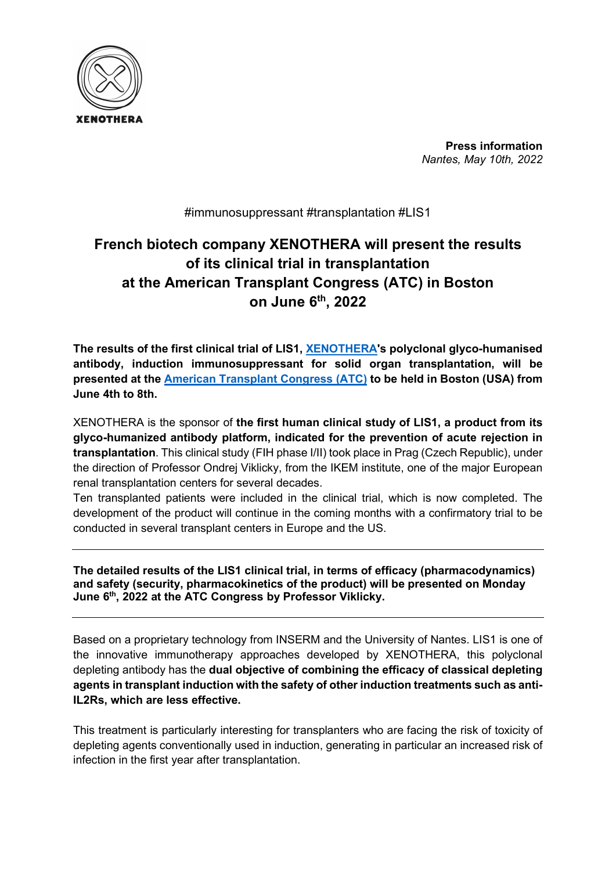

Press information Nantes, May 10th, 2022

#immunosuppressant #transplantation #LIS1

## French biotech company XENOTHERA will present the results of its clinical trial in transplantation at the American Transplant Congress (ATC) in Boston on June 6th, 2022

The results of the first clinical trial of LIS1, XENOTHERA's polyclonal glyco-humanised antibody, induction immunosuppressant for solid organ transplantation, will be presented at the American Transplant Congress (ATC) to be held in Boston (USA) from June 4th to 8th.

XENOTHERA is the sponsor of the first human clinical study of LIS1, a product from its glyco-humanized antibody platform, indicated for the prevention of acute rejection in transplantation. This clinical study (FIH phase I/II) took place in Prag (Czech Republic), under the direction of Professor Ondrej Viklicky, from the IKEM institute, one of the major European renal transplantation centers for several decades.

Ten transplanted patients were included in the clinical trial, which is now completed. The development of the product will continue in the coming months with a confirmatory trial to be conducted in several transplant centers in Europe and the US.

The detailed results of the LIS1 clinical trial, in terms of efficacy (pharmacodynamics) and safety (security, pharmacokinetics of the product) will be presented on Monday June 6<sup>th</sup>, 2022 at the ATC Congress by Professor Viklicky.

Based on a proprietary technology from INSERM and the University of Nantes. LIS1 is one of the innovative immunotherapy approaches developed by XENOTHERA, this polyclonal depleting antibody has the dual objective of combining the efficacy of classical depleting agents in transplant induction with the safety of other induction treatments such as anti-IL2Rs, which are less effective.

This treatment is particularly interesting for transplanters who are facing the risk of toxicity of depleting agents conventionally used in induction, generating in particular an increased risk of infection in the first year after transplantation.